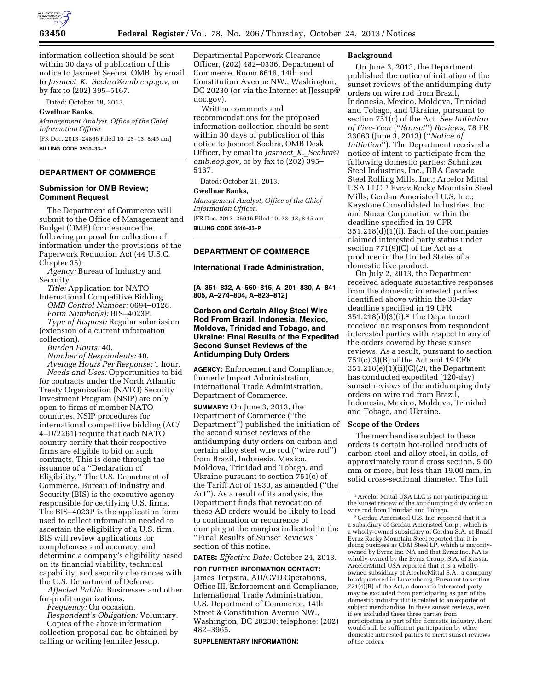

information collection should be sent within 30 days of publication of this notice to Jasmeet Seehra, OMB, by email to *Jasmeet*\_*K.*\_*[Seehra@omb.eop.gov,](mailto:Jasmeet_K._Seehra@omb.eop.gov)* or by fax to  $(202)$  395–5167.

Dated: October 18, 2013.

### **Gwellnar Banks,**

*Management Analyst, Office of the Chief Information Officer.*  [FR Doc. 2013–24866 Filed 10–23–13; 8:45 am]

**BILLING CODE 3510–33–P** 

# **DEPARTMENT OF COMMERCE**

# **Submission for OMB Review; Comment Request**

The Department of Commerce will submit to the Office of Management and Budget (OMB) for clearance the following proposal for collection of information under the provisions of the Paperwork Reduction Act (44 U.S.C. Chapter 35).

*Agency:* Bureau of Industry and Security.

*Title:* Application for NATO International Competitive Bidding. *OMB Control Number:* 0694–0128. *Form Number(s):* BIS–4023P. *Type of Request:* Regular submission

(extension of a current information collection).

*Burden Hours:* 40.

*Number of Respondents:* 40. *Average Hours Per Response:* 1 hour. *Needs and Uses:* Opportunities to bid for contracts under the North Atlantic Treaty Organization (NATO) Security Investment Program (NSIP) are only open to firms of member NATO countries. NSIP procedures for international competitive bidding (AC/ 4–D/2261) require that each NATO country certify that their respective firms are eligible to bid on such contracts. This is done through the issuance of a ''Declaration of Eligibility.'' The U.S. Department of Commerce, Bureau of Industry and Security (BIS) is the executive agency responsible for certifying U.S. firms. The BIS–4023P is the application form used to collect information needed to ascertain the eligibility of a U.S. firm. BIS will review applications for completeness and accuracy, and determine a company's eligibility based on its financial viability, technical capability, and security clearances with the U.S. Department of Defense.

*Affected Public:* Businesses and other for-profit organizations.

*Frequency:* On occasion.

*Respondent's Obligation:* Voluntary. Copies of the above information collection proposal can be obtained by calling or writing Jennifer Jessup,

Departmental Paperwork Clearance Officer, (202) 482–0336, Department of Commerce, Room 6616, 14th and Constitution Avenue NW., Washington, DC 20230 (or via the Internet at [JJessup@](mailto:JJessup@doc.gov) [doc.gov\).](mailto:JJessup@doc.gov) 

Written comments and recommendations for the proposed information collection should be sent within 30 days of publication of this notice to Jasmeet Seehra, OMB Desk Officer, by email to *Jasmeet*\_*K.*\_*[Seehra@](mailto:Jasmeet_K._Seehra@omb.eop.gov) [omb.eop.gov,](mailto:Jasmeet_K._Seehra@omb.eop.gov)* or by fax to (202) 395– 5167.

Dated: October 21, 2013.

### **Gwellnar Banks,**

*Management Analyst, Office of the Chief Information Officer.* 

[FR Doc. 2013–25016 Filed 10–23–13; 8:45 am] **BILLING CODE 3510–33–P** 

# **DEPARTMENT OF COMMERCE**

### **International Trade Administration,**

**[A–351–832, A–560–815, A–201–830, A–841– 805, A–274–804, A–823–812]** 

# **Carbon and Certain Alloy Steel Wire Rod From Brazil, Indonesia, Mexico, Moldova, Trinidad and Tobago, and Ukraine: Final Results of the Expedited Second Sunset Reviews of the Antidumping Duty Orders**

**AGENCY:** Enforcement and Compliance, formerly Import Administration, International Trade Administration, Department of Commerce.

**SUMMARY:** On June 3, 2013, the Department of Commerce (''the Department'') published the initiation of the second sunset reviews of the antidumping duty orders on carbon and certain alloy steel wire rod (''wire rod'') from Brazil, Indonesia, Mexico, Moldova, Trinidad and Tobago, and Ukraine pursuant to section 751(c) of the Tariff Act of 1930, as amended (''the Act''). As a result of its analysis, the Department finds that revocation of these AD orders would be likely to lead to continuation or recurrence of dumping at the margins indicated in the ''Final Results of Sunset Reviews'' section of this notice.

**DATES:** *Effective Date:* October 24, 2013.

**FOR FURTHER INFORMATION CONTACT:**  James Terpstra, AD/CVD Operations, Office III, Enforcement and Compliance, International Trade Administration, U.S. Department of Commerce, 14th Street & Constitution Avenue NW., Washington, DC 20230; telephone: (202) 482–3965.

#### **SUPPLEMENTARY INFORMATION:**

### **Background**

On June 3, 2013, the Department published the notice of initiation of the sunset reviews of the antidumping duty orders on wire rod from Brazil, Indonesia, Mexico, Moldova, Trinidad and Tobago, and Ukraine, pursuant to section 751(c) of the Act. *See Initiation of Five-Year* (''*Sunset*'') *Reviews,* 78 FR 33063 (June 3, 2013) (''*Notice of Initiation*''). The Department received a notice of intent to participate from the following domestic parties: Schnitzer Steel Industries, Inc., DBA Cascade Steel Rolling Mills, Inc.; Arcelor Mittal USA LLC; 1 Evraz Rocky Mountain Steel Mills; Gerdau Ameristeel U.S. Inc.; Keystone Consolidated Industries, Inc.; and Nucor Corporation within the deadline specified in 19 CFR 351.218(d)(1)(i). Each of the companies claimed interested party status under section 771(9)(C) of the Act as a producer in the United States of a domestic like product.

On July 2, 2013, the Department received adequate substantive responses from the domestic interested parties identified above within the 30-day deadline specified in 19 CFR 351.218(d)(3)(i).2 The Department received no responses from respondent interested parties with respect to any of the orders covered by these sunset reviews. As a result, pursuant to section 751(c)(3)(B) of the Act and 19 CFR 351.218(e)(1)(ii)(C)(*2*), the Department has conducted expedited (120-day) sunset reviews of the antidumping duty orders on wire rod from Brazil, Indonesia, Mexico, Moldova, Trinidad and Tobago, and Ukraine.

# **Scope of the Orders**

The merchandise subject to these orders is certain hot-rolled products of carbon steel and alloy steel, in coils, of approximately round cross section, 5.00 mm or more, but less than 19.00 mm, in solid cross-sectional diameter. The full

1Arcelor Mittal USA LLC is not participating in the sunset review of the antidumping duty order on<br>wire rod from Trinidad and Tobago.

<sup>2</sup> Gerdau Ameristeel U.S. Inc. reported that it is a subsidiary of Gerdau Ameristeel Corp., which is a wholly-owned subsidiary of Gerdau S.A. of Brazil. Evraz Rocky Mountain Steel reported that it is doing business as CF&I Steel LP, which is majorityowned by Evraz Inc. NA and that Evraz Inc. NA is wholly-owned by the Evraz Group, S.A. of Russia. ArcelorMittal USA reported that it is a whollyowned subsidiary of ArcelorMittal S.A., a company headquartered in Luxembourg. Pursuant to section  $771(4)(B)$  of the Act, a domestic interested party may be excluded from participating as part of the domestic industry if it is related to an exporter of subject merchandise. In these sunset reviews, even if we excluded these three parties from participating as part of the domestic industry, there would still be sufficient participation by other domestic interested parties to merit sunset reviews of the orders.